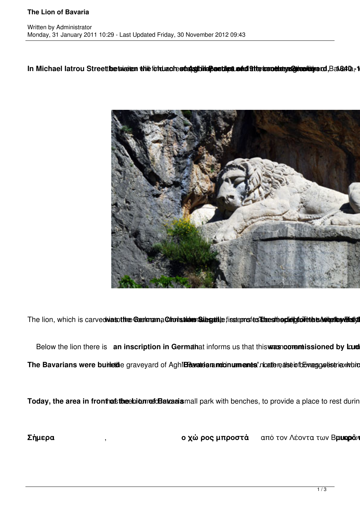## **The Lion of Bavaria**

## In Michael latrou Streett betweeken the fortug chestal string band and alter transition and Balch 2.1



The lion, which is carvedwasothe Centrana Choristiden Stiles et isstepns to strest hopid bore the Autorious Entry

Below the lion there is an inscription in Germahat informs us that this was nooremissioned by kurd The Bavarians were burinetide graveyard of AghlBavatrianandonuments noatterealse informago eiseriexhibit

Today, the area in fronthas the ebiorred Bavaria mall park with benches, to provide a place to rest during

**Σήμερα** , **ιαμιστάκια με παγκάκια και διαμορφών το χώρος μπροστά** από τον Λέοντα των Β**ρυκρό**ν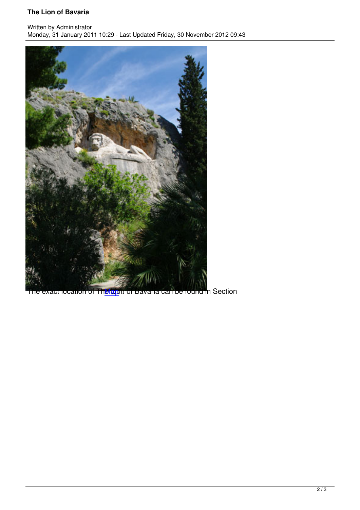Written by Administrator and Administrator and Administrator and Administrator and Administrator and Administrator and Administrator and Administrator and Administrator and Administrator and Administrator and Administrator Monday, 31 January 2011 10:29 - Last Updated Friday, 30 November 2012 09:43



The exact location of The Lapp of Bavaria can be found in Section